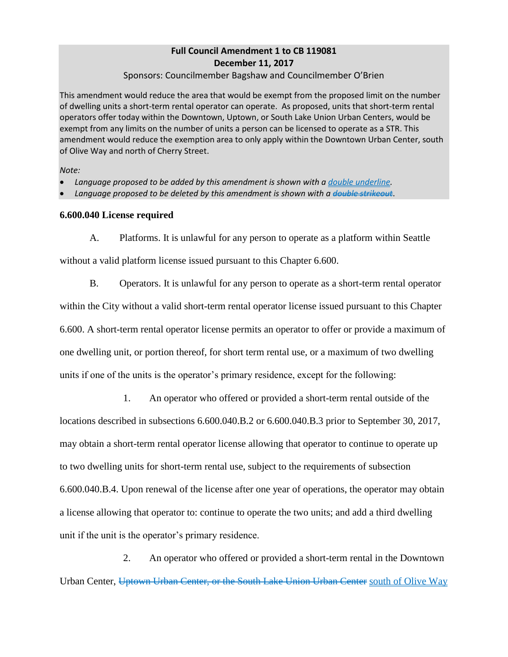## **Full Council Amendment 1 to CB 119081 December 11, 2017**

### Sponsors: Councilmember Bagshaw and Councilmember O'Brien

This amendment would reduce the area that would be exempt from the proposed limit on the number of dwelling units a short-term rental operator can operate. As proposed, units that short-term rental operators offer today within the Downtown, Uptown, or South Lake Union Urban Centers, would be exempt from any limits on the number of units a person can be licensed to operate as a STR. This amendment would reduce the exemption area to only apply within the Downtown Urban Center, south of Olive Way and north of Cherry Street.

*Note:* 

*Language proposed to be added by this amendment is shown with a double underline.* 

Language proposed to be deleted by this amendment is shown with a double strikeout.

## **6.600.040 License required**

A. Platforms. It is unlawful for any person to operate as a platform within Seattle

without a valid platform license issued pursuant to this Chapter 6.600.

B. Operators. It is unlawful for any person to operate as a short-term rental operator within the City without a valid short-term rental operator license issued pursuant to this Chapter 6.600. A short-term rental operator license permits an operator to offer or provide a maximum of one dwelling unit, or portion thereof, for short term rental use, or a maximum of two dwelling units if one of the units is the operator's primary residence, except for the following:

1. An operator who offered or provided a short-term rental outside of the locations described in subsections 6.600.040.B.2 or 6.600.040.B.3 prior to September 30, 2017, may obtain a short-term rental operator license allowing that operator to continue to operate up to two dwelling units for short-term rental use, subject to the requirements of subsection 6.600.040.B.4. Upon renewal of the license after one year of operations, the operator may obtain a license allowing that operator to: continue to operate the two units; and add a third dwelling unit if the unit is the operator's primary residence.

2. An operator who offered or provided a short-term rental in the Downtown Urban Center, Uptown Urban Center, or the South Lake Union Urban Center south of Olive Way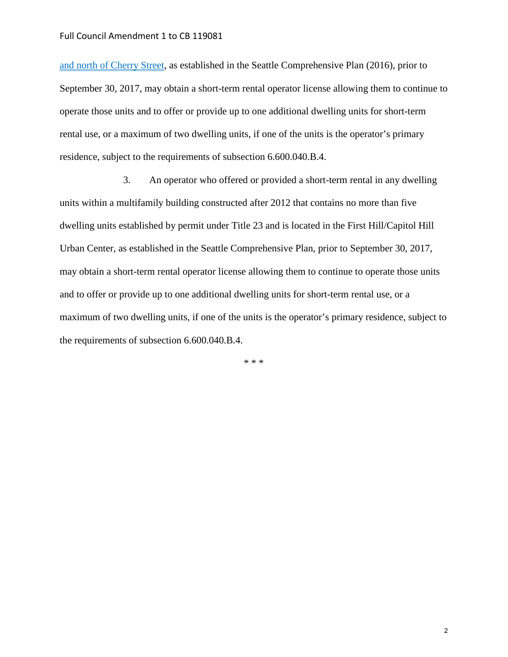and north of Cherry Street, as established in the Seattle Comprehensive Plan (2016), prior to September 30, 2017, may obtain a short-term rental operator license allowing them to continue to operate those units and to offer or provide up to one additional dwelling units for short-term rental use, or a maximum of two dwelling units, if one of the units is the operator's primary residence, subject to the requirements of subsection 6.600.040.B.4.

3. An operator who offered or provided a short-term rental in any dwelling units within a multifamily building constructed after 2012 that contains no more than five dwelling units established by permit under Title 23 and is located in the First Hill/Capitol Hill Urban Center, as established in the Seattle Comprehensive Plan, prior to September 30, 2017, may obtain a short-term rental operator license allowing them to continue to operate those units and to offer or provide up to one additional dwelling units for short-term rental use, or a maximum of two dwelling units, if one of the units is the operator's primary residence, subject to the requirements of subsection 6.600.040.B.4.

\* \* \*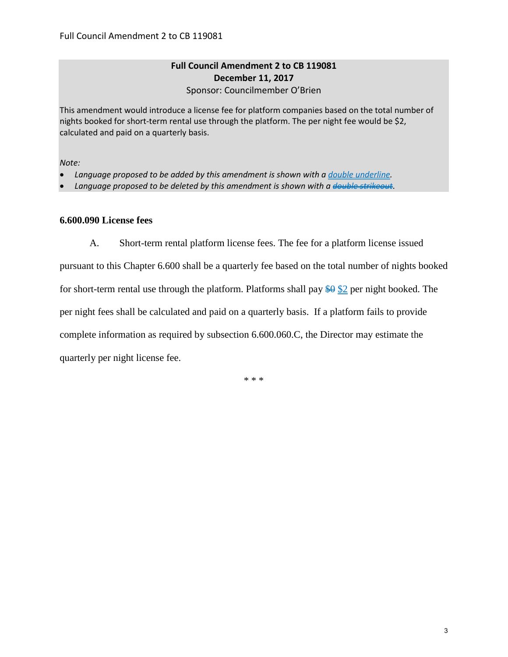## **Full Council Amendment 2 to CB 119081 December 11, 2017** Sponsor: Councilmember O'Brien

This amendment would introduce a license fee for platform companies based on the total number of nights booked for short-term rental use through the platform. The per night fee would be \$2, calculated and paid on a quarterly basis.

*Note:* 

- *Language proposed to be added by this amendment is shown with a double underline.*
- *Language proposed to be deleted by this amendment is shown with a double strikeout*.

### **6.600.090 License fees**

A. Short-term rental platform license fees. The fee for a platform license issued

pursuant to this Chapter 6.600 shall be a quarterly fee based on the total number of nights booked for short-term rental use through the platform. Platforms shall pay  $\frac{60}{20}$  per night booked. The per night fees shall be calculated and paid on a quarterly basis. If a platform fails to provide complete information as required by subsection 6.600.060.C, the Director may estimate the quarterly per night license fee.

\* \* \*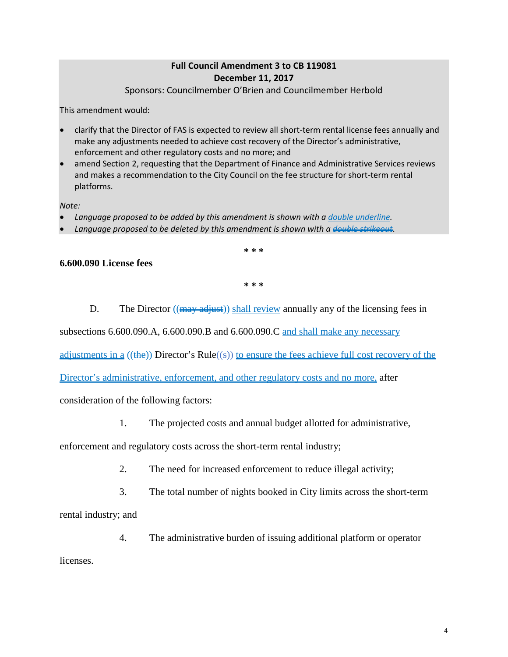# **Full Council Amendment 3 to CB 119081 December 11, 2017**

Sponsors: Councilmember O'Brien and Councilmember Herbold

This amendment would:

- clarify that the Director of FAS is expected to review all short-term rental license fees annually and make any adjustments needed to achieve cost recovery of the Director's administrative, enforcement and other regulatory costs and no more; and
- amend Section 2, requesting that the Department of Finance and Administrative Services reviews and makes a recommendation to the City Council on the fee structure for short-term rental platforms.

*Note:* 

- *Language proposed to be added by this amendment is shown with a double underline.*
- *Language proposed to be deleted by this amendment is shown with a double strikeout*.

**\* \* \*** 

### **6.600.090 License fees**

**\* \* \*** 

D. The Director  $((\frac{1}{2}m\omega + \frac{1}{2}m) \sinh \omega + \sinh \omega)$  annually any of the licensing fees in

subsections 6.600.090.A, 6.600.090.B and 6.600.090.C and shall make any necessary

adjustments in a  $((\frac{4}{2})$  Director's Rule $((\frac{6}{2}))$  to ensure the fees achieve full cost recovery of the

Director's administrative, enforcement, and other regulatory costs and no more, after

consideration of the following factors:

1. The projected costs and annual budget allotted for administrative,

enforcement and regulatory costs across the short-term rental industry;

- 2. The need for increased enforcement to reduce illegal activity;
- 3. The total number of nights booked in City limits across the short-term

rental industry; and

4. The administrative burden of issuing additional platform or operator

licenses.